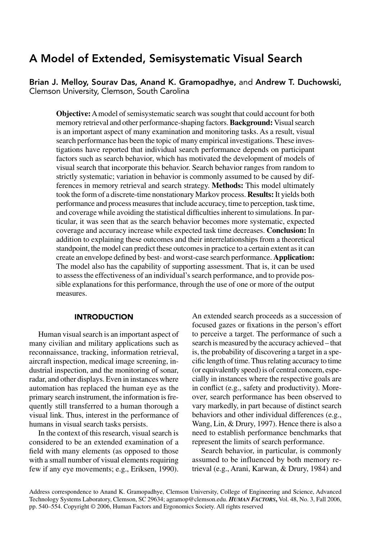# A Model of Extended, Semisystematic Visual Search

Brian J. Melloy, Sourav Das, Anand K. Gramopadhye, and Andrew T. Duchowski, Clemson University, Clemson, South Carolina

**Objective:**Amodel of semisystematic search was sought that could account for both memory retrieval and other performance-shaping factors.**Background:** Visual search is an important aspect of many examination and monitoring tasks. As a result, visual search performance has been the topic of many empirical investigations. These investigations have reported that individual search performance depends on participant factors such as search behavior, which has motivated the development of models of visual search that incorporate this behavior. Search behavior ranges from random to strictly systematic; variation in behavior is commonly assumed to be caused by differences in memory retrieval and search strategy. **Methods:** This model ultimately took the form of a discrete-time nonstationary Markov process. **Results:** It yields both performance and process measures that include accuracy, time to perception, task time, and coverage while avoiding the statistical difficulties inherent to simulations. In particular, it was seen that as the search behavior becomes more systematic, expected coverage and accuracy increase while expected task time decreases. **Conclusion:** In addition to explaining these outcomes and their interrelationships from a theoretical standpoint, the model can predict these outcomes in practice to a certain extent as it can create an envelope defined by best- and worst-case search performance. **Application:** The model also has the capability of supporting assessment. That is, it can be used to assess the effectiveness of an individual's search performance, and to provide possible explanations for this performance, through the use of one or more of the output measures.

## INTRODUCTION

Human visual search is an important aspect of many civilian and military applications such as reconnaissance, tracking, information retrieval, aircraft inspection, medical image screening, industrial inspection, and the monitoring of sonar, radar, and other displays. Even in instances where automation has replaced the human eye as the primary search instrument, the information is frequently still transferred to a human thorough a visual link. Thus, interest in the performance of humans in visual search tasks persists.

In the context of this research, visual search is considered to be an extended examination of a field with many elements (as opposed to those with a small number of visual elements requiring few if any eye movements; e.g., Eriksen, 1990).

An extended search proceeds as a succession of focused gazes or fixations in the person's effort to perceive a target. The performance of such a search is measured by the accuracy achieved – that is, the probability of discovering a target in a specific length of time. Thus relating accuracy to time (or equivalently speed) is of central concern, especially in instances where the respective goals are in conflict (e.g., safety and productivity). Moreover, search performance has been observed to vary markedly, in part because of distinct search behaviors and other individual differences (e.g., Wang, Lin, & Drury, 1997). Hence there is also a need to establish performance benchmarks that represent the limits of search performance.

Search behavior, in particular, is commonly assumed to be influenced by both memory retrieval (e.g., Arani, Karwan, & Drury, 1984) and

Address correspondence to Anand K. Gramopadhye, Clemson University, College of Engineering and Science, Advanced Technology Systems Laboratory, Clemson, SC 29634; agramop@clemson.edu. *HUMAN FACTORS***,** Vol. 48, No. 3, Fall 2006, pp. 540–554. Copyright © 2006, Human Factors and Ergonomics Society. All rights reserved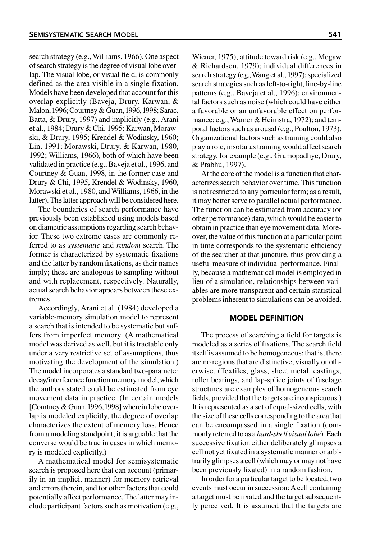search strategy (e.g., Williams, 1966). One aspect of search strategy is the degree of visual lobe overlap. The visual lobe, or visual field, is commonly defined as the area visible in a single fixation. Models have been developed that account for this overlap explicitly (Baveja, Drury, Karwan, & Malon,1996; Courtney & Guan,1996,1998; Sarac, Batta, & Drury, 1997) and implicitly (e.g., Arani et al., 1984; Drury & Chi, 1995; Karwan, Morawski, & Drury, 1995; Krendel & Wodinsky, 1960; Lin, 1991; Morawski, Drury, & Karwan, 1980, 1992; Williams, 1966), both of which have been validated in practice (e.g., Baveja et al., 1996, and Courtney & Guan, 1998, in the former case and Drury & Chi, 1995, Krendel & Wodinsky, 1960, Morawski et al., 1980, and Williams, 1966, in the latter). The latter approach will be considered here.

The boundaries of search performance have previously been established using models based on diametric assumptions regarding search behavior. These two extreme cases are commonly referred to as *systematic* and *random* search. The former is characterized by systematic fixations and the latter by random fixations, as their names imply; these are analogous to sampling without and with replacement, respectively. Naturally, actual search behavior appears between these extremes.

Accordingly, Arani et al. (1984) developed a variable-memory simulation model to represent a search that is intended to be systematic but suffers from imperfect memory. (A mathematical model was derived as well, but it is tractable only under a very restrictive set of assumptions, thus motivating the development of the simulation.) The model incorporates a standard two-parameter decay/interference function memory model, which the authors stated could be estimated from eye movement data in practice. (In certain models [Courtney & Guan,1996,1998] wherein lobe overlap is modeled explicitly, the degree of overlap characterizes the extent of memory loss. Hence from a modeling standpoint, it is arguable that the converse would be true in cases in which memory is modeled explicitly.)

A mathematical model for semisystematic search is proposed here that can account (primarily in an implicit manner) for memory retrieval and errors therein, and for other factors that could potentially affect performance. The latter may include participant factors such as motivation (e.g.,

Wiener, 1975); attitude toward risk (e.g., Megaw & Richardson, 1979); individual differences in search strategy (e.g.,Wang et al.,1997); specialized search strategies such as left-to-right, line-by-line patterns (e.g., Baveja et al., 1996); environmental factors such as noise (which could have either a favorable or an unfavorable effect on performance; e.g., Warner & Heimstra, 1972); and temporal factors such as arousal (e.g., Poulton, 1973). Organizational factors such as training could also play a role, insofar as training would affect search strategy, for example (e.g., Gramopadhye, Drury, & Prabhu, 1997).

At the core of the model is a function that characterizes search behavior over time. This function is not restricted to any particular form; as a result, it may better serve to parallel actual performance. The function can be estimated from accuracy (or other performance) data, which would be easier to obtain in practice than eye movement data. Moreover, the value of this function at a particular point in time corresponds to the systematic efficiency of the searcher at that juncture, thus providing a useful measure of individual performance. Finally, because a mathematical model is employed in lieu of a simulation, relationships between variables are more transparent and certain statistical problems inherent to simulations can be avoided.

#### MODEL DEFINITION

The process of searching a field for targets is modeled as a series of fixations. The search field itself is assumed to be homogeneous; that is, there are no regions that are distinctive, visually or otherwise. (Textiles, glass, sheet metal, castings, roller bearings, and lap-splice joints of fuselage structures are examples of homogeneous search fields, provided that the targets are inconspicuous.) It is represented as a set of equal-sized cells, with the size of these cells corresponding to the area that can be encompassed in a single fixation (commonly referred to as a *hard-shell visual lobe*). Each successive fixation either deliberately glimpses a cell not yet fixated in a systematic manner or arbitrarily glimpses a cell (which may or may not have been previously fixated) in a random fashion.

In order for a particular target to be located, two events must occur in succession: Acell containing a target must be fixated and the target subsequently perceived. It is assumed that the targets are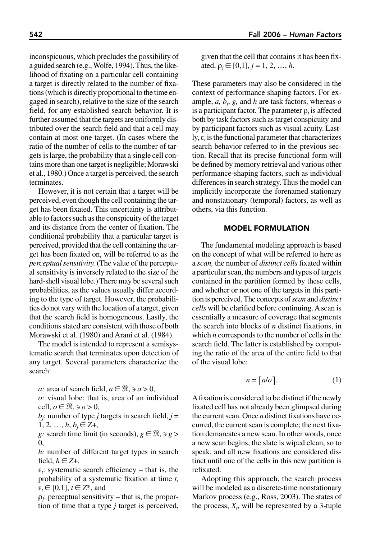inconspicuous, which precludes the possibility of a guided search (e.g., Wolfe, 1994). Thus, the likelihood of fixating on a particular cell containing a target is directly related to the number of fixations (which is directly proportional to the time engaged in search), relative to the size of the search field, for any established search behavior. It is further assumed that the targets are uniformly distributed over the search field and that a cell may contain at most one target. (In cases where the ratio of the number of cells to the number of targets is large, the probability that a single cell contains more than one target is negligible; Morawski et al., 1980.) Once a target is perceived, the search terminates.

However, it is not certain that a target will be perceived, even though the cell containing the target has been fixated. This uncertainty is attributable to factors such as the conspicuity of the target and its distance from the center of fixation. The conditional probability that a particular target is perceived, provided that the cell containing the target has been fixated on, will be referred to as the *perceptual sensitivity.* (The value of the perceptual sensitivity is inversely related to the size of the hard-shell visual lobe.) There may be several such probabilities, as the values usually differ according to the type of target. However, the probabilities do not vary with the location of a target, given that the search field is homogeneous. Lastly, the conditions stated are consistent with those of both Morawski et al. (1980) and Arani et al. (1984).

The model is intended to represent a semisystematic search that terminates upon detection of any target. Several parameters characterize the search:

*a*: area of search field,  $a \in \mathbb{R}$ ,  $\exists a > 0$ ,

*o:* visual lobe; that is, area of an individual cell, *o* ∈ ℜ, ∋ *o* > 0,

 $b_j$ : number of type *j* targets in search field,  $j =$ 1, 2, …,  $h, b<sub>j</sub> ∈ Z+,$ 

*g*: search time limit (in seconds),  $g \in \mathfrak{R}$ ,  $\ni g$ 0,

*h:* number of different target types in search field,  $h \in Z+$ ,

 $\varepsilon_t$ : systematic search efficiency – that is, the probability of a systematic fixation at time *t,*   $\varepsilon_t \in [0,1]$ ,  $t \in \mathbb{Z}^*$ , and

 $\rho_i$ : perceptual sensitivity – that is, the proportion of time that a type *j* target is perceived, given that the cell that contains it has been fixated,  $\rho_j \in [0,1]$ ,  $j = 1, 2, ..., h$ .

These parameters may also be considered in the context of performance shaping factors. For example, *a, bj*, *g,* and *h* are task factors, whereas *o* is a participant factor. The parameter  $\rho_i$  is affected both by task factors such as target conspicuity and by participant factors such as visual acuity. Lastly,  $\varepsilon_t$  is the functional parameter that characterizes search behavior referred to in the previous section. Recall that its precise functional form will be defined by memory retrieval and various other performance-shaping factors, such as individual differences in search strategy. Thus the model can implicitly incorporate the forenamed stationary and nonstationary (temporal) factors, as well as others, via this function.

## MODEL FORMULATION

The fundamental modeling approach is based on the concept of what will be referred to here as a *scan,* the number of *distinct cells* fixated within a particular scan, the numbers and types of targets contained in the partition formed by these cells, and whether or not one of the targets in this partition is perceived. The concepts of *scan* and *distinct cells* will be clarified before continuing. Ascan is essentially a measure of coverage that segments the search into blocks of *n* distinct fixations, in which *n* corresponds to the number of cells in the search field. The latter is established by computing the ratio of the area of the entire field to that of the visual lobe:

$$
n = [a/o]. \tag{1}
$$

Afixation is considered to be distinct if the newly fixated cell has not already been glimpsed during the current scan. Once *n* distinct fixations have occurred, the current scan is complete; the next fixation demarcates a new scan. In other words, once a new scan begins, the slate is wiped clean, so to speak, and all new fixations are considered distinct until one of the cells in this new partition is refixated.

Adopting this approach, the search process will be modeled as a discrete-time nonstationary Markov process (e.g., Ross, 2003). The states of the process,  $X_t$ , will be represented by a 3-tuple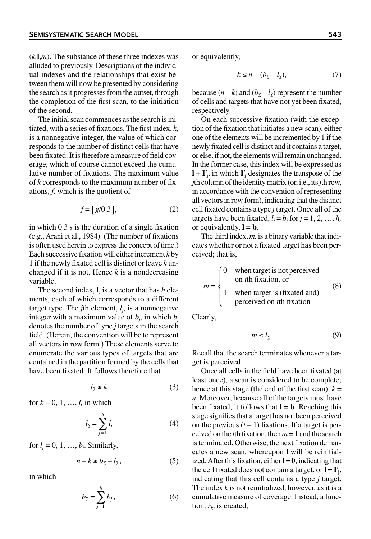$(k, \mathbf{l}, m)$ . The substance of these three indexes was alluded to previously. Descriptions of the individual indexes and the relationships that exist between them will now be presented by considering the search as it progresses from the outset, through the completion of the first scan, to the initiation of the second.

The initial scan commences as the search is initiated, with a series of fixations. The first index, *k,* is a nonnegative integer, the value of which corresponds to the number of distinct cells that have been fixated. It is therefore a measure of field coverage, which of course cannot exceed the cumulative number of fixations. The maximum value of *k* corresponds to the maximum number of fixations, *f,* which is the quotient of

$$
f = \lfloor g/0.3 \rfloor, \tag{2}
$$

in which 0.3 s is the duration of a single fixation (e.g., Arani et al., 1984). (The number of fixations is often used herein to express the concept of time.) Each successive fixation will either increment *k* by 1 if the newly fixated cell is distinct or leave *k* unchanged if it is not. Hence *k* is a nondecreasing variable.

The second index, **l**, is a vector that has *h* elements, each of which corresponds to a different target type. The *j*th element,  $l_i$ , is a nonnegative integer with a maximum value of  $b_i$ , in which  $b_i$ denotes the number of type *j* targets in the search field. (Herein, the convention will be to represent all vectors in row form.) These elements serve to enumerate the various types of targets that are contained in the partition formed by the cells that have been fixated. It follows therefore that

$$
l_{\Sigma} \le k \tag{3}
$$

for  $k = 0, 1, ..., f$ , in which

$$
l_{\Sigma} = \sum_{j=1}^{h} l_j \tag{4}
$$

for  $l_i = 0, 1, ..., b_i$ . Similarly,

$$
n - k \ge b_{\Sigma} - l_{\Sigma},\tag{5}
$$

in which

$$
b_{\Sigma} = \sum_{j=1}^{h} b_j, \qquad (6)
$$

or equivalently,

$$
k \le n - (b_{\Sigma} - l_{\Sigma}),\tag{7}
$$

because  $(n - k)$  and  $(b<sub>Σ</sub> - l<sub>Σ</sub>)$  represent the number of cells and targets that have not yet been fixated, respectively.

On each successive fixation (with the exception of the fixation that initiates a new scan), either one of the elements will be incremented by 1 if the newly fixated cell is distinct and it contains a target, or else, if not, the elements will remain unchanged. In the former case, this index will be expressed as  $\mathbf{I} + \mathbf{I}'$ ; in which  $\mathbf{I}'_j$  designates the transpose of the *j*th column of the identity matrix (or, i.e., its *j*th row, in accordance with the convention of representing all vectors in row form), indicating that the distinct cell fixated contains a type *j* target. Once all of the targets have been fixated,  $l_i = b_j$  for  $j = 1, 2, ..., h$ , or equivalently,  $\mathbf{l} = \mathbf{b}$ .

The third index, *m,* is a binary variable that indicates whether or not a fixated target has been perceived; that is,

$$
m = \begin{cases} 0 & \text{when target is not perceived} \\ & \text{on } t\text{th fixation, or} \\ 1 & \text{when target is (fixed and)} \\ & \text{perceived on } t\text{th fixation} \end{cases}
$$
 (8)

Clearly,

$$
m \le l_{\Sigma}.\tag{9}
$$

Recall that the search terminates whenever a target is perceived.

Once all cells in the field have been fixated (at least once), a scan is considered to be complete; hence at this stage (the end of the first scan),  $k =$ *n*. Moreover, because all of the targets must have been fixated, it follows that  $\mathbf{l} = \mathbf{b}$ . Reaching this stage signifies that a target has not been perceived on the previous  $(t-1)$  fixations. If a target is perceived on the *t*th fixation, then *m* = 1 and the search is terminated. Otherwise, the next fixation demarcates a new scan, whereupon **l** will be reinitialized. After this fixation, either  $\mathbf{l} = \mathbf{0}$ , indicating that the cell fixated does not contain a target, or  $I = I'_{j}$ , indicating that this cell contains a type *j* target. The index *k* is not reinitialized, however, as it is a cumulative measure of coverage. Instead, a function,  $r_k$ , is created,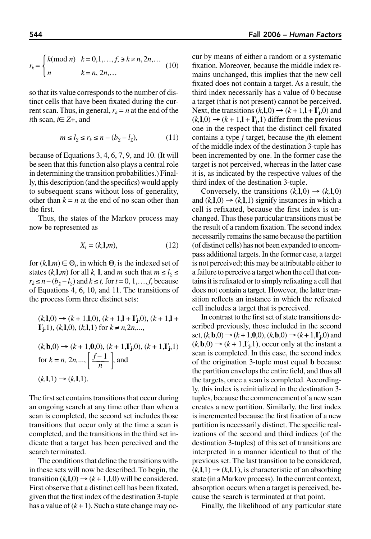$$
r_k = \begin{cases} k(\text{mod } n) & k = 0, 1, ..., f, \exists k \neq n, 2n, ... \\ n & k = n, 2n, ... \end{cases}
$$
(10)

so that its value corresponds to the number of distinct cells that have been fixated during the current scan. Thus, in general,  $r_k = n$  at the end of the *i*th scan, *i*∈ *Z*+, and

$$
m \le l_{\Sigma} \le r_k \le n - (b_{\Sigma} - l_{\Sigma}),\tag{11}
$$

because of Equations 3, 4, 6, 7, 9, and 10. (It will be seen that this function also plays a central role in determining the transition probabilities.) Finally, this description (and the specifics) would apply to subsequent scans without loss of generality, other than  $k = n$  at the end of no scan other than the first.

Thus, the states of the Markov process may now be represented as

$$
X_t = (k, \mathbf{l}, m), \tag{12}
$$

for  $(k, \mathbf{l}, m) \in \Theta_t$ , in which  $\Theta_t$  is the indexed set of states  $(k, \mathbf{l}, m)$  for all  $k, \mathbf{l}$ , and  $m$  such that  $m \le l_{\Sigma} \le$ *r<sub>k</sub>* ≤ *n* – (*b*<sub>∑</sub> – *l*<sub>∑</sub>) and *k* ≤ *t*, for *t* = 0, 1,…, *f*, because of Equations 4, 6, 10, and 11. The transitions of the process form three distinct sets:

$$
(k, l, 0) \rightarrow (k + 1, l, 0), (k + 1, l + I'_j, 0), (k + 1, l + I'_j, 1), (k, l, 0), (k, l, 1) for  $k \neq n, 2n, \ldots$ ,  

$$
(k, b, 0) \rightarrow (k + 1, 0, 0), (k + 1, I'_j, 0), (k + 1, I'_j, 1)
$$
$$

for 
$$
k = n, 2n, ..., \left[\frac{f-1}{n}\right]
$$
, and  
\n $(k, l, 1) \rightarrow (k, l, 1)$ .

The first set contains transitions that occur during an ongoing search at any time other than when a scan is completed, the second set includes those transitions that occur only at the time a scan is completed, and the transitions in the third set indicate that a target has been perceived and the search terminated.

The conditions that define the transitions within these sets will now be described. To begin, the transition  $(k, \mathbf{l}, 0) \rightarrow (k+1, \mathbf{l}, 0)$  will be considered. First observe that a distinct cell has been fixated, given that the first index of the destination 3-tuple has a value of  $(k + 1)$ . Such a state change may occur by means of either a random or a systematic fixation. Moreover, because the middle index remains unchanged, this implies that the new cell fixated does not contain a target. As a result, the third index necessarily has a value of 0 because a target (that is not present) cannot be perceived. Next, the transitions  $(k, \mathbf{l}, 0) \rightarrow (k+1, \mathbf{l} + \mathbf{l}'_j, 0)$  and  $(k, \mathbf{l}, 0) \rightarrow (k+1, \mathbf{l} + \mathbf{l}'_j, 1)$  differ from the previous one in the respect that the distinct cell fixated contains a type *j* target, because the *j*th element of the middle index of the destination 3-tuple has been incremented by one. In the former case the target is not perceived, whereas in the latter case it is, as indicated by the respective values of the third index of the destination 3-tuple.

Conversely, the transitions  $(k, \mathbf{l}, 0) \rightarrow (k, \mathbf{l}, 0)$ and  $(k, \mathbf{l}, 0) \rightarrow (k, \mathbf{l}, 1)$  signify instances in which a cell is refixated, because the first index is unchanged. Thus these particular transitions must be the result of a random fixation. The second index necessarily remains the same because the partition (of distinct cells) has not been expanded to encompass additional targets. In the former case, a target is not perceived; this may be attributable either to a failure to perceive a target when the cell that contains it is refixated or to simply refixating a cell that does not contain a target. However, the latter transition reflects an instance in which the refixated cell includes a target that is perceived.

In contrast to the first set of state transitions described previously, those included in the second set,  $(k, \mathbf{b}, 0) \to (k + 1, \mathbf{0}, 0)$ ,  $(k, \mathbf{b}, 0) \to (k + 1, \mathbf{I}'_j, 0)$  and  $(k, \mathbf{b}, 0) \rightarrow (k + 1, \mathbf{I}'_j, 1)$ , occur only at the instant a scan is completed. In this case, the second index of the origination 3-tuple must equal **b** because the partition envelops the entire field, and thus all the targets, once a scan is completed. Accordingly, this index is reinitialized in the destination 3 tuples, because the commencement of a new scan creates a new partition. Similarly, the first index is incremented because the first fixation of a new partition is necessarily distinct. The specific realizations of the second and third indices (of the destination 3-tuples) of this set of transitions are interpreted in a manner identical to that of the previous set. The last transition to be considered,  $(k, \mathbf{l}, 1) \rightarrow (k, \mathbf{l}, 1)$ , is characteristic of an absorbing state (in a Markov process). In the current context, absorption occurs when a target is perceived, because the search is terminated at that point.

Finally, the likelihood of any particular state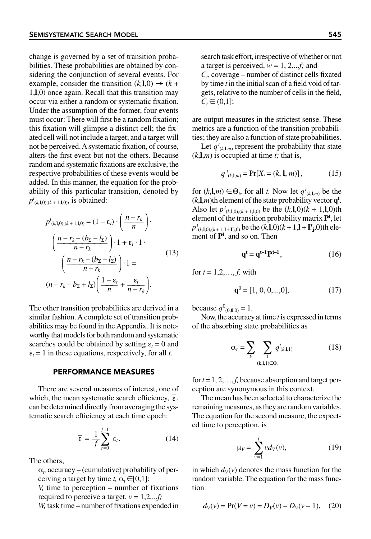change is governed by a set of transition probabilities. These probabilities are obtained by considering the conjunction of several events. For example, consider the transition  $(k, \mathbf{l}, 0) \rightarrow (k +$ 1,**l**,0) once again. Recall that this transition may occur via either a random or systematic fixation. Under the assumption of the former, four events must occur: There will first be a random fixation; this fixation will glimpse a distinct cell; the fixated cell will not include a target; and a target will not be perceived. Asystematic fixation, of course, alters the first event but not the others. Because random and systematic fixations are exclusive, the respective probabilities of these events would be added. In this manner, the equation for the probability of this particular transition, denoted by  $p^{t}(k,1,0),(k+1,1,0)$ , is obtained:

$$
p^{t}(k,1,0),(k+1,1,0) = (1 - \varepsilon_{t}) \cdot \left(\frac{n - r_{k}}{n}\right) \cdot \left(\frac{n - r_{k} - (b_{\Sigma} - l_{\Sigma})}{n - r_{k}}\right) \cdot 1 + \varepsilon_{t} \cdot 1 \cdot \left(\frac{n - r_{k} - (b_{\Sigma} - l_{\Sigma})}{n - r_{k}}\right) \cdot 1 = \left(n - r_{k} - b_{\Sigma} + l_{\Sigma}\right) \left(\frac{1 - \varepsilon_{t}}{n} + \frac{\varepsilon_{t}}{n - r_{k}}\right).
$$
\n(13)

The other transition probabilities are derived in a similar fashion. A complete set of transition probabilities may be found in the Appendix. It is noteworthy that models for both random and systematic searches could be obtained by setting  $\varepsilon_t = 0$  and  $\varepsilon_t = 1$  in these equations, respectively, for all *t*.

## PERFORMANCE MEASURES

There are several measures of interest, one of which, the mean systematic search efficiency,  $\overline{\epsilon}$ , can be determined directly from averaging the systematic search efficiency at each time epoch:

$$
\overline{\varepsilon} = \frac{1}{f} \sum_{t=0}^{f-1} \varepsilon_t.
$$
 (14)

The others,

 $\alpha_b$  accuracy – (cumulative) probability of perceiving a target by time *t*,  $\alpha_t \in [0,1]$ ;

*V,* time to perception – number of fixations required to perceive a target,  $v = 1, 2, \dots$ *f*;

*W,* task time – number of fixations expended in

search task effort, irrespective of whether or not a target is perceived, *w* = 1, 2,...*f;* and  $C_t$ , coverage – number of distinct cells fixated by time *t* in the initial scan of a field void of targets, relative to the number of cells in the field,  $C_t \in (0,1]$ ;

are output measures in the strictest sense. These metrics are a function of the transition probabilities; they are also a function of state probabilities.

Let  $q^t_{(k,1,m)}$  represent the probability that state  $(k, \mathbf{l}, m)$  is occupied at time *t*; that is,

$$
q^{t}(k,1,m) = \Pr[X_{t} = (k, 1, m)], \tag{15}
$$

for  $(k, \mathbf{l}, m) \in \Theta_t$ , for all *t*. Now let  $q^t_{(k, \mathbf{l}, m)}$  be the  $(k, \mathbf{l}, m)$ th element of the state probability vector  $\mathbf{q}^t$ . Also let  $p^t_{(k,1,0),(k+1,1,0)}$  be the  $(k,l,0)(k+1,l,0)$ th element of the transition probability matrix **Pt** , let  $p^{t}(k,1,0),(k+1,1+\mathbf{I}^{\prime}_{i},0)$  be the  $(k,\mathbf{l},0)(k+1,\mathbf{l}+\mathbf{I}^{\prime}_{j},0)$ th element of **Pt** , and so on. Then

$$
\mathbf{q}^{\mathbf{t}} = \mathbf{q}^{\mathbf{t}-1} \mathbf{P}^{\mathbf{t}-1},\tag{16}
$$

for  $t = 1, 2, ..., f$ , with

$$
\mathbf{q}^0 = [1, 0, 0, \dots, 0],\tag{17}
$$

because  $q^{0}_{(0,0,0)} = 1$ .

Now, the accuracyat time *t* is expressed in terms of the absorbing state probabilities as

$$
\alpha_{t} = \sum_{k} \sum_{\substack{\mathbf{l} \ (\mathbf{k}, \mathbf{l}, \mathbf{l}) \in \Theta_{t}}} q_{(k, \mathbf{l}, \mathbf{l})}^{t} \tag{18}
$$

for  $t = 1, 2, \ldots, f$ , because absorption and target perception are synonymous in this context.

The mean has been selected to characterize the remaining measures, as they are random variables. The equation for the second measure, the expected time to perception, is

$$
\mu_V = \sum_{v=1}^{f} v d_V(v), \tag{19}
$$

in which  $d_V(v)$  denotes the mass function for the random variable. The equation for the mass function

$$
d_V(v) = \Pr(V = v) = D_V(v) - D_V(v - 1), \quad (20)
$$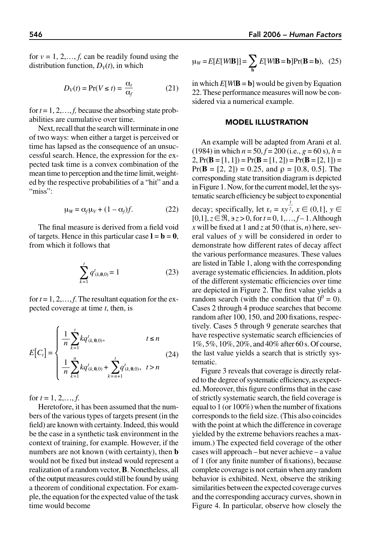for  $v = 1, 2, \ldots, f$ , can be readily found using the distribution function,  $D<sub>V</sub>(t)$ , in which

$$
D_V(t) = \Pr(V \le t) = \frac{\alpha_t}{\alpha_f} \tag{21}
$$

for  $t = 1, 2, \ldots, f$ , because the absorbing state probabilities are cumulative over time.

Next, recall that the search will terminate in one of two ways: when either a target is perceived or time has lapsed as the consequence of an unsuccessful search. Hence, the expression for the expected task time is a convex combination of the mean time to perception and the time limit,weighted by the respective probabilities of a "hit" and a "miss":

$$
\mu_W = \alpha_f \mu_V + (1 - \alpha_f)f. \tag{22}
$$

The final measure is derived from a field void of targets. Hence in this particular case  $\mathbf{l} = \mathbf{b} = \mathbf{0}$ , from which it follows that

$$
\sum_{k=1}^{t} q^{t}(k, 0, 0) = 1
$$
 (23)

for  $t = 1, 2, \ldots, f$ . The resultant equation for the expected coverage at time *t*, then, is

$$
E[C_t] = \begin{cases} \frac{1}{n} \sum_{k=1}^t k q^t_{(k,0,0)}, & t \le n \\ \frac{1}{n} \sum_{k=1}^n k q^t_{(k,0,0)} + \sum_{k=n+1}^t q^t_{(k,0,0)}, & t > n \end{cases}
$$
(24)

for  $t = 1, 2, \ldots, f$ .

Heretofore, it has been assumed that the numbers of the various types of targets present (in the field) are known with certainty. Indeed, this would be the case in a synthetic task environment in the context of training, for example. However, if the numbers are not known (with certainty), then **b** would not be fixed but instead would represent a realization of a random vector, **B**. Nonetheless, all of the output measures could still be found by using a theorem of conditional expectation. For example, the equation for the expected value of the task time would become

$$
\mu_W = E[E[W|B]] = \sum_{\mathbf{b}} E[W|B = \mathbf{b}] Pr(B = \mathbf{b}), \quad (25)
$$

in which  $E[W|B = b]$  would be given by Equation 22. These performance measures will now be considered via a numerical example.

## MODEL ILLUSTRATION

An example will be adapted from Arani et al. (1984) in which  $n = 50$ ,  $f = 200$  (i.e.,  $g = 60$  s),  $h =$ 2,  $Pr(B = [1, 1]) = Pr(B = [1, 2]) = Pr(B = [2, 1]) =$ Pr( $\bf{B}$  = [2, 2]) = 0.25, and  $\rho$  = [0.8, 0.5]. The corresponding state transition diagram is depicted in Figure 1. Now, for the current model, let the systematic search efficiency be subject to exponential

decay; specifically, let  $\varepsilon_t = xy^{\frac{t}{\zeta}}, x \in (0,1], y \in$  $[0,1]$ ,  $z \in \mathbb{R}$ , ∍  $z > 0$ , for  $t = 0, 1, \ldots, f - 1$ . Although *x* will be fixed at 1 and *z* at 50 (that is, *n*) here, several values of *y* will be considered in order to demonstrate how different rates of decay affect the various performance measures. These values are listed in Table 1, along with the corresponding average systematic efficiencies. In addition, plots of the different systematic efficiencies over time are depicted in Figure 2. The first value yields a random search (with the condition that  $0^0 = 0$ ). Cases 2 through 4 produce searches that become random after 100, 150, and 200 fixations, respectively. Cases 5 through 9 generate searches that have respective systematic search efficiencies of 1%, 5%, 10%, 20%, and 40% after 60 s. Of course, the last value yields a search that is strictly systematic.

Figure 3 reveals that coverage is directly related to the degree of systematic efficiency, as expected. Moreover, this figure confirms that in the case of strictly systematic search, the field coverage is equal to 1 (or 100%) when the number of fixations corresponds to the field size. (This also coincides with the point at which the difference in coverage yielded by the extreme behaviors reaches a maximum.) The expected field coverage of the other cases will approach – but never achieve – a value of 1 (for any finite number of fixations), because complete coverage is not certain when any random behavior is exhibited. Next, observe the striking similarities between the expected coverage curves and the corresponding accuracy curves, shown in Figure 4. In particular, observe how closely the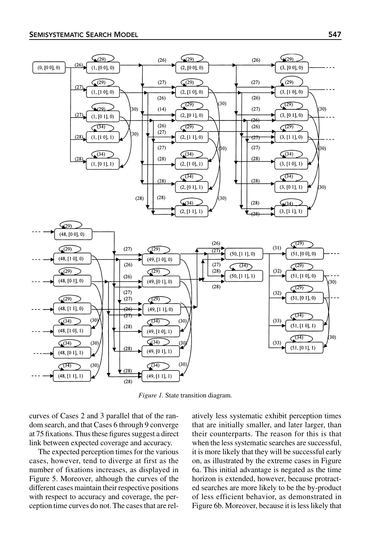

*Figure 1.* State transition diagram.

curves of Cases 2 and 3 parallel that of the random search, and that Cases 6 through 9 converge at 75 fixations. Thus these figures suggest a direct link between expected coverage and accuracy.

The expected perception times for the various cases, however, tend to diverge at first as the number of fixations increases, as displayed in Figure 5. Moreover, although the curves of the different cases maintain their respective positions with respect to accuracy and coverage, the perception time curves do not. The cases that are relatively less systematic exhibit perception times that are initially smaller, and later larger, than their counterparts. The reason for this is that when the less systematic searches are successful, it is more likely that they will be successful early on, as illustrated by the extreme cases in Figure 6a. This initial advantage is negated as the time horizon is extended, however, because protracted searches are more likely to be the by-product of less efficient behavior, as demonstrated in Figure 6b. Moreover, because it is less likely that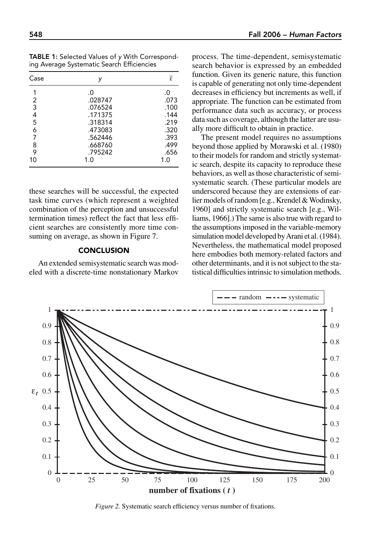TABLE 1: Selected Values of *y* With Corresponding Average Systematic Search Efficiencies

| Case |         | $\overline{\epsilon}$ |
|------|---------|-----------------------|
|      | .0      | .0                    |
| 2    | .028747 | .073                  |
| 3    | .076524 | .100                  |
| 4    | .171375 | .144                  |
| 5    | .318314 | .219                  |
| 6    | .473083 | .320                  |
| 7    | .562446 | .393                  |
| 8    | .668760 | .499                  |
| 9    | .795242 | .656                  |
| 10   | 1.0     | 1.0                   |

these searches will be successful, the expected task time curves (which represent a weighted combination of the perception and unsuccessful termination times) reflect the fact that less efficient searches are consistently more time consuming on average, as shown in Figure 7.

# **CONCLUSION**

An extended semisystematic search was modeled with a discrete-time nonstationary Markov

process. The time-dependent, semisystematic search behavior is expressed by an embedded function. Given its generic nature, this function is capable of generating not only time-dependent decreases in efficiency but increments as well, if appropriate. The function can be estimated from performance data such as accuracy, or process data such as coverage, although the latter are usually more difficult to obtain in practice.

The present model requires no assumptions beyond those applied by Morawski et al. (1980) to their models for random and strictly systematic search, despite its capacity to reproduce these behaviors, as well as those characteristic of semisystematic search. (These particular models are underscored because they are extensions of earlier models of random [e.g., Krendel & Wodinsky, 1960] and strictly systematic search [e.g., Williams, 1966].) The same is also true with regard to the assumptions imposed in the variable-memory simulation model developed by Arani et al. (1984). Nevertheless, the mathematical model proposed here embodies both memory-related factors and other determinants, and it is not subject to the statistical difficulties intrinsic to simulation methods.



*Figure 2.* Systematic search efficiency versus number of fixations.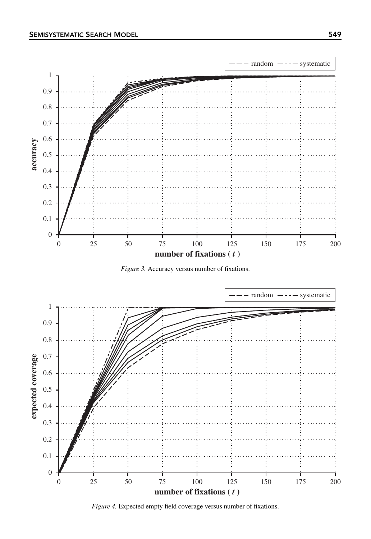

*Figure 3.* Accuracy versus number of fixations.



*Figure 4.* Expected empty field coverage versus number of fixations.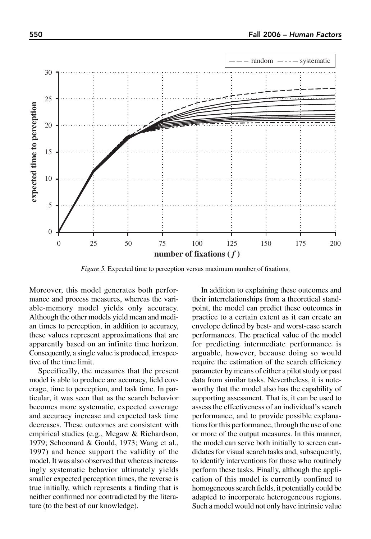

*Figure 5.* Expected time to perception versus maximum number of fixations.

Moreover, this model generates both performance and process measures, whereas the variable-memory model yields only accuracy. Although the other models yield mean and median times to perception, in addition to accuracy, these values represent approximations that are apparently based on an infinite time horizon. Consequently, a single value is produced, irrespective of the time limit.

Specifically, the measures that the present model is able to produce are accuracy, field coverage, time to perception, and task time. In particular, it was seen that as the search behavior becomes more systematic, expected coverage and accuracy increase and expected task time decreases. These outcomes are consistent with empirical studies (e.g., Megaw & Richardson, 1979; Schoonard & Gould, 1973; Wang et al., 1997) and hence support the validity of the model. It was also observed that whereas increasingly systematic behavior ultimately yields smaller expected perception times, the reverse is true initially, which represents a finding that is neither confirmed nor contradicted by the literature (to the best of our knowledge).

In addition to explaining these outcomes and their interrelationships from a theoretical standpoint, the model can predict these outcomes in practice to a certain extent as it can create an envelope defined by best- and worst-case search performances. The practical value of the model for predicting intermediate performance is arguable, however, because doing so would require the estimation of the search efficiency parameter by means of either a pilot study or past data from similar tasks. Nevertheless, it is noteworthy that the model also has the capability of supporting assessment. That is, it can be used to assess the effectiveness of an individual's search performance, and to provide possible explanations for this performance, through the use of one or more of the output measures. In this manner, the model can serve both initially to screen candidates for visual search tasks and, subsequently, to identify interventions for those who routinely perform these tasks. Finally, although the application of this model is currently confined to homogeneous search fields, it potentially could be adapted to incorporate heterogeneous regions. Such a model would not only have intrinsic value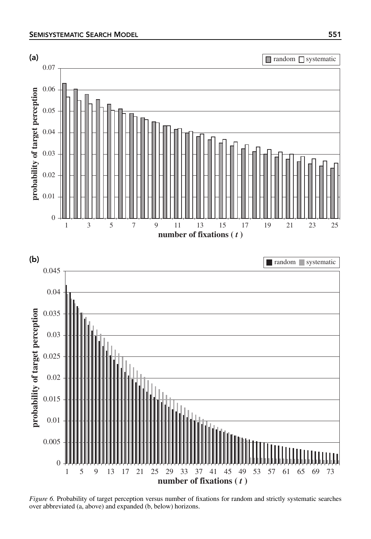

*Figure 6.* Probability of target perception versus number of fixations for random and strictly systematic searches over abbreviated (a, above) and expanded (b, below) horizons.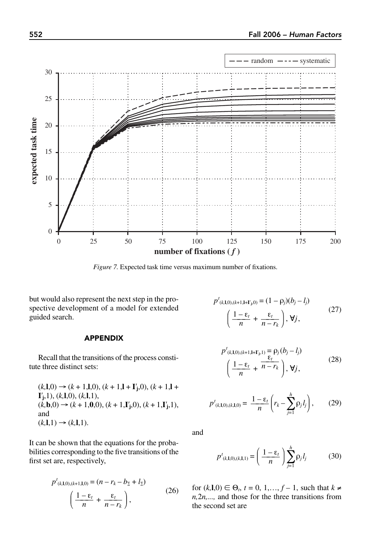

*Figure 7.* Expected task time versus maximum number of fixations.

but would also represent the next step in the prospective development of a model for extended guided search.

### APPENDIX

Recall that the transitions of the process constitute three distinct sets:

$$
(k, l, 0) \rightarrow (k + 1, l, 0), (k + 1, l + I'_j, 0), (k + 1, l + I'_j, 1), (k, l, 0), (k, l, 1), (k, b, 0) \rightarrow (k + 1, l, 0, 0), (k + 1, I'_j, 0), (k + 1, I'_j, 1),
$$
  
and  

$$
(k, l, 1) \rightarrow (k, l, 1).
$$

It can be shown that the equations for the probabilities corresponding to the five transitions of the first set are, respectively,

$$
p^{t}(k,1,0),(k+1,1,0) = (n - r_{k} - b_{\Sigma} + l_{\Sigma})
$$

$$
\left(\frac{1 - \varepsilon_{t}}{n} + \frac{\varepsilon_{t}}{n - r_{k}}\right),
$$
(26)

$$
p^{t}(k,1,0),(k+1,1+Y_{j},0) = (1 - \rho_{j})(b_{j} - l_{j})
$$

$$
\left(\frac{1 - \varepsilon_{t}}{n} + \frac{\varepsilon_{t}}{n - r_{k}}\right), \forall j,
$$
\n(27)

$$
p^{t}(k,1,0),(k+1,1+\Gamma_{j},1) = \rho_{j}(b_{j}-l_{j})
$$

$$
\left(\frac{1-\varepsilon_{t}}{n} + \frac{\varepsilon_{t}}{n-r_{k}}\right), \forall j,
$$
\n(28)

$$
p^{t}(k,1,0),(k,1,0) = \frac{1-\varepsilon_{t}}{n} \left(r_{k} - \sum_{j=1}^{h} \rho_{j} l_{j}\right), \qquad (29)
$$

and

$$
p^{t}(k,1,0),(k,1,1)} = \left(\frac{1-\varepsilon_{t}}{n}\right) \sum_{j=1}^{h} \rho_{j} l_{j} \tag{30}
$$

for  $(k, \mathbf{l}, 0) \in \Theta_t$ ,  $t = 0, 1, \ldots, f - 1$ , such that  $k \neq 0$ *n,*2*n,...,* and those for the three transitions from the second set are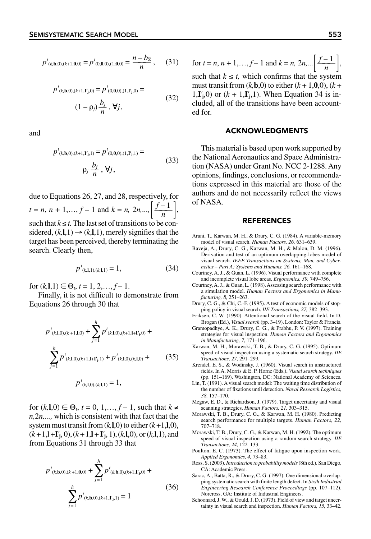$$
p^{t}(k, \mathbf{b}, 0), (k+1, \mathbf{0}, 0) = p^{t}(0, \mathbf{0}, 0), (1, \mathbf{0}, 0) = \frac{n - b_{\Sigma}}{n}, \qquad (31)
$$

$$
p^{t}(k, \mathbf{b}, 0), (k+1, \mathbf{I'}_{j}, 0) = p^{t}(0, \mathbf{0}, 0), (1, \mathbf{I'}_{j}, 0) =
$$
  
(1 - \rho\_{j}) \frac{b\_{j}}{n}, \forall j, (32)

and

$$
p^{t}(k, \mathbf{b}, 0), (k+1, \mathbf{I}^t, 1) = p^{t}(0, \mathbf{0}, 0), (1, \mathbf{I}^t, 1) =
$$
  

$$
\rho_j \frac{b_j}{n}, \forall j,
$$
 (33)

due to Equations 26, 27, and 28, respectively, for  $t = n, n + 1, \ldots, f - 1$  and  $k = n, 2n, \ldots, \left[ \frac{f - 1}{n} \right],$ such that  $k \leq t$ . The last set of transitions to be considered,  $(k, \mathbf{l}, 1) \rightarrow (k, \mathbf{l}, 1)$ , merely signifies that the target has been perceived, thereby terminating the search. Clearly then,

$$
p^{t}(k, \mathbf{l}, 1), (k, \mathbf{l}, 1) = 1,\tag{34}
$$

for  $(k, \mathbf{l},1) \in \Theta_t$ ,  $t = 1, 2, \ldots, f-1$ .

Finally, it is not difficult to demonstrate from Equations 26 through 30 that

$$
p^{t}(k,1,0),(k+1,1,0) + \sum_{j=1}^{h} p^{t}(k,1,0),(k+1,1+1^{r},0) + \sum_{j=1}^{h} p^{t}(k,1,0),(k+1,1+1^{r},1) + p^{t}(k,1,0),(k,1,0) + \qquad (35)
$$

$$
p^{t}(k, \mathbf{l}, 0), (k, \mathbf{l}, 1) = 1,
$$

for  $(k, \mathbf{l},0) \in \Theta_t$ ,  $t = 0, 1, \ldots, f-1$ , such that  $k \neq$ *n,*2*n,...,* which is consistent with that fact that the system must transit from  $(k, \mathbf{l}, 0)$  to either  $(k+1, \mathbf{l}, 0)$ , (*k* +1,l +**I**′ **<sup>j</sup>**, 0),(*k* +1,**l** + **I**′ **<sup>j</sup>**, 1),(*k,***l**,0), or (*k,***l**,1),and from Equations 31 through 33 that

$$
p^{t}(k, \mathbf{b}, 0), (k+1, \mathbf{0}, 0) + \sum_{j=1}^{h} p^{t}(k, \mathbf{b}, 0), (k+1, \mathbf{I}^{\prime}_{j}, 0) + \sum_{j=1}^{h} p^{t}(k, \mathbf{b}, 0), (k+1, \mathbf{I}^{\prime}_{j}, 1) = 1
$$
\n(36)

for  $t = n, n + 1, \ldots, f - 1$  and  $k = n, 2n, \ldots \left[ \frac{f - 1}{n} \right],$ such that  $k \leq t$ , which confirms that the system must transit from  $(k, \mathbf{b}, 0)$  to either  $(k + 1, \mathbf{0}, 0)$ ,  $(k +$ 1, $I'_{j}$ ,0) or  $(k + 1, I'_{j}$ ,1). When Equation 34 is included, all of the transitions have been accounted for.

#### ACKNOWLEDGMENTS

This material is based upon work supported by the National Aeronautics and Space Administration (NASA) under Grant No. NCC 2-1288. Any opinions, findings, conclusions, or recommendations expressed in this material are those of the authors and do not necessarily reflect the views of NASA.

#### REFERENCES

- Arani, T., Karwan, M. H., & Drury, C. G. (1984). A variable-memory model of visual search. *Human Factors, 26,* 631–639.
- Baveja, A., Drury, C. G., Karwan, M. H., & Malon, D. M. (1996). Derivation and test of an optimum overlapping-lobes model of visual search. *IEEE Transactions on Systems, Man, and Cybernetics – Part A: Systems and Humans, 26,* 161–168.
- Courtney, A. J., & Guan, L. (1996). Visual performance with complete and incomplete visual lobe areas. *Ergonomics, 39,* 749–756.
- Courtney, A. J., & Guan, L. (1998). Assessing search performance with a simulation model. *Human Factors and Ergonomics in Manufacturing, 8*, 251–263.
- Drury, C. G., & Chi, C.-F. (1995). A test of economic models of stopping policy in visual search. *IIE Transactions, 27,* 382–393.
- Eriksen, C. W. (1990). Attentional search of the visual field. In D. Brogan (Ed.), *Visual search* (pp. 3–19). London: Taylor & Francis.
- Gramopadhye, A. K., Drury, C. G., & Prabhu, P. V. (1997). Training strategies for visual inspection. *Human Factors and Ergonomics in Manufacturing, 7*, 171–196.
- Karwan, M. H., Morawski, T. B., & Drury, C. G. (1995). Optimum speed of visual inspection using a systematic search strategy. *IIE Transactions, 27,* 291–299.
- Krendel, E. S., & Wodinsky, J. (1960). Visual search in unstructured fields. In A. Morris & E. P. Horne (Eds.), *Visual search techniques* (pp. 151–169). Washington, DC: National Academy of Sciences.
- Lin, T. (1991). A visual search model: The waiting time distribution of the number of fixations until detection. *Naval Research Logistics, 38,* 157–170.
- Megaw, E. D., & Richardson, J. (1979). Target uncertainty and visual scanning strategies. *Human Factors, 21,* 303–315.
- Morawski, T. B., Drury, C. G., & Karwan, M. H. (1980). Predicting search performance for multiple targets. *Human Factors, 22,* 707–718.
- Morawski, T. B., Drury, C. G., & Karwan, M. H. (1992). The optimum speed of visual inspection using a random search strategy. *IIE Transactions, 24,* 122–133.
- Poulton, E. C. (1973). The effect of fatigue upon inspection work. *Applied Ergonomics, 4,* 73–83.
- Ross, S. (2003). *Introduction to probability models*(8th ed.). San Diego, CA: Academic Press.
- Sarac, A., Batta, R., & Drury, C. G. (1997). One dimensional overlapping systematic search with finite length defect. In *Sixth Industrial Engineering Research Conference Proceedings* (pp. 107–112). Norcross, GA: Institute of Industrial Engineers.
- Schoonard, J. W., & Gould, J. D. (1973). Field of view and target uncertainty in visual search and inspection. *Human Factors, 15,* 33–42.